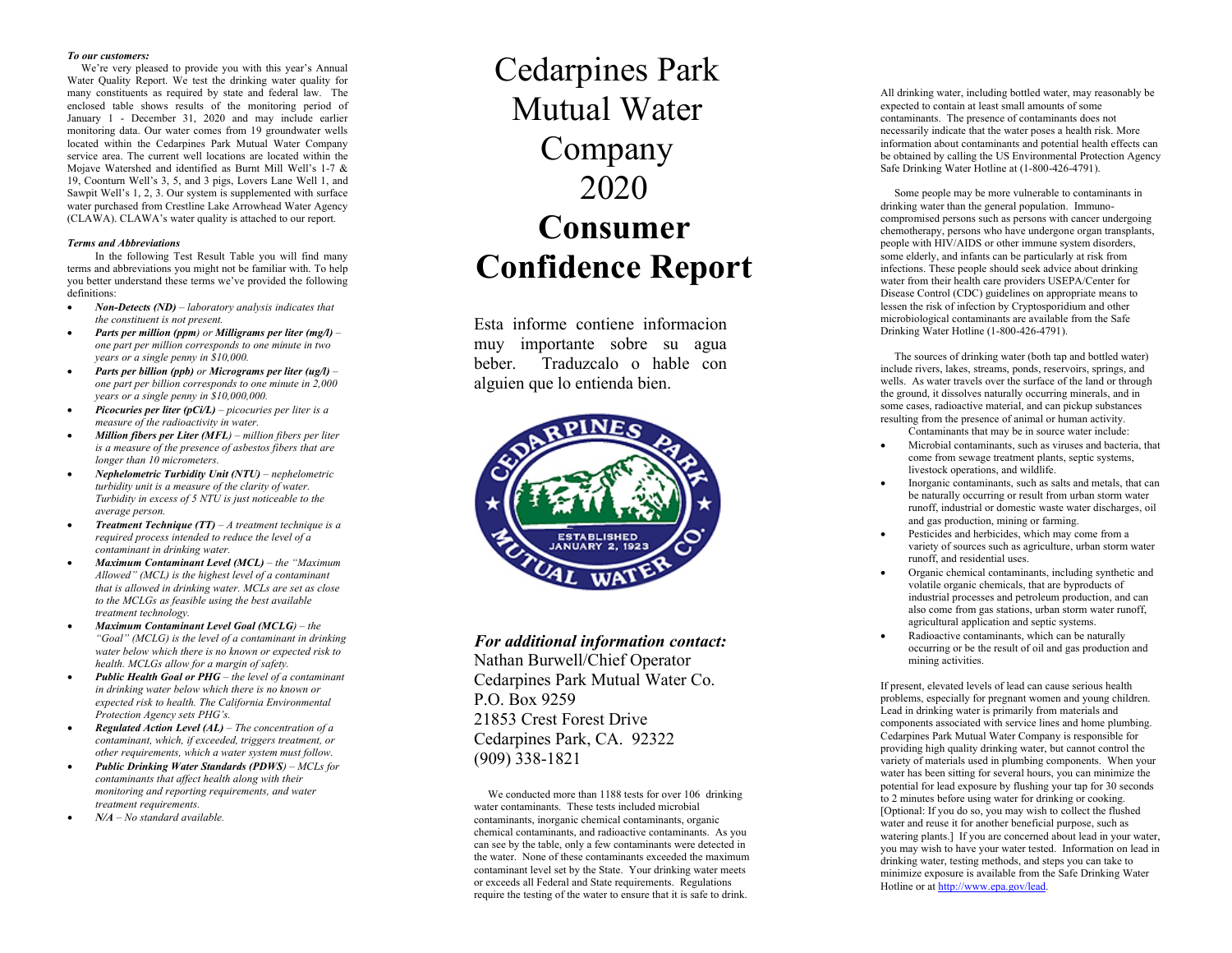## *To our customers:*

We're very pleased to provide you with this year's Annual Water Quality Report. We test the drinking water quality for many constituents as required by state and federal law . The enclosed table shows results of the monitoring period of January 1 - December 31, 2020 and may include earlier monitoring data . Our water comes from 19 groundwater wells located within the Cedarpines Park Mutual Water Company service area. The current well locations are located within the Mojave Watershed and identified as Burnt Mill Well's 1 -7 & 19, Coonturn Well's 3, 5, and 3 pigs, Lovers Lane Well 1 , and Sawpit Well's 1, 2, 3 . Our system is supplemented with surface water purchased from Crestline Lake Arrowhead Water Agency (CLAWA). CLAWA's water quality is attached to our report.

## *Terms and Abbreviations*

In the following Test Result Table you will find many terms and abbreviations you might not be familiar with. To help you better understand these terms we've provided the following definitions:

- *Non-Detects (ND) – laboratory analysis indicates that the constituent is not present.*
- *Parts per million (ppm) or Milligrams per liter (mg/l) – one part per million corresponds to one minute in two years or a single penny in \$10,000.*
- *Parts per billion (ppb) or Micrograms per liter (ug/l) – one part per billion corresponds to one minute in 2,000 years or a single penny in \$10,000,000.*
- *Picocuries per liter (pCi/L) – picocuries per liter is a measure of the radioactivity in water.*
- *Million fibers per Liter (MFL) – million fibers per liter is a measure of the presence of asbestos fibers that are longer than 10 micrometers.*
- *Nephelometric Turbidity Unit (NTU) – nephelometric turbidity unit is a measure of the clarity of water. Turbidity in excess of 5 NTU is just noticeable to the average person.*
- *Treatment Technique (TT) – A treatment technique is a required process intended to reduce the level of a contaminant in drinking water.*
- *Maximum Contaminant Level (MCL) – the "Maximum Allowed" (MCL) is the highest level of a contaminant that is allowed in drinking water. MCLs are set as close to the MCLGs as feasible using the best available treatment technology.*
- *Maximum Contaminant Level Goal (MCLG)* the *"Goal" (MCLG) is the level of a contaminant in drinking water below which there is no known or expected risk to health. MCLGs allow for a margin of safety.*
- *Public Health Goal or PHG – the level of a contaminant in drinking water below which there is no known or expected risk to health. The California Environmental Protection Agency sets PHG 's.*
- *Regulated Action Level (AL) – The concentration of a contaminant, which, if exceeded, triggers treatment, or other requirements, which a water system must follow.*
- *Public Drinking Water Standards (PDWS) – MCLs for contaminants that affect health along with their monitoring and reporting requirements, and water treatment requirements.*
- *N/A – No standard available.*

## Cedarpines Park Mutual Water Company 2020 **Consumer Confidence Report**

Esta informe contiene informacion muy importante sobre su agua beber. Traduzcalo o hable con alguien que lo entien da bien.



*For additional information contact:* Nathan Burwell/Chief Operator Cedarpines Park Mutual Water Co. P.O. Box 9259 21853 Crest Forest Drive Cedarpines Park, CA. 92322 (909) 3 3 8 -1821

We conducted more than 1188 tests for over 106 drinking water contaminants. These tests included microbial contaminants, inorganic chemical contaminants, organic chemical contaminants, and radioactive contaminants. As you can see by the table, only a few contaminants were detected in the water. None of these contaminants exceeded the maximum contaminant level set by the State. Your drinking water meets or exceeds all Federal and State requirements. Regulations require the testing of the water to ensure that it is safe to drink.

All drinking water, including bottled water, may reasonably be expected to contain at least small amounts of some contaminants. The presence of contaminants does not necessarily indicate that the water poses a health risk. More information about contaminants and potential health effects can be obtained by calling the US Environmental Protection Agency Safe Drinking Water Hotline at (1-800-426-4791).

Some people may be more vulnerable to contaminants in drinking water than the general population. Immuno compromised persons such as persons with cancer undergoing chemotherapy, persons who have undergone organ transplants, people with HIV/AIDS or other immune system disorders, some elderly, and infants can be particularly at risk from infections. These people should seek advice about drinking water from their health care providers USEPA/Center for Disease Control (CDC ) guidelines on appropriate means to lessen the risk of infection by Cryptosporidium and other microbiological contaminants are available from the Safe Drinking Water Hotline (1 -800 -426 -4791).

The sources of drinking water (both tap and bottled water) include rivers, lakes, streams, ponds, reservoirs, springs, and wells. As water travels over the surface of the land or through the ground, it dissolves naturally occurring minerals, and in some cases, radioactive material, and can pickup substances resulting from the presence of animal or human activity.

Contaminants that may be in source water include:

- Microbial contaminants, such as viruses and bacteria, that come from sewage treatment plants, septic systems, livestock operations, and wildlife.
- Inorganic contaminants, such as salts and metals, that can be naturally occurring or result from urban storm water runoff, industrial or domestic waste water discharges, oil and gas production, mining or farming.
- Pesticides and herbicides, which may come from a variety of sources such as agriculture, urban storm water runoff, and residential uses.
- Organic chemical contaminants, including synthetic and volatile organic chemicals, that are byproducts of industrial processes and petroleum production, and can also come from gas stations, urban storm water runoff, agricultural application and septic systems.
- Radioactive contaminants, which can be naturally occurring or be the result of oil and gas production and mining activities.

If present, elevated levels of lead can cause serious health problems, especially for pregnant women and young children. Lead in drinking water is primarily from materials and components associated with service lines and home plumbing. Cedarpines Park Mutual Water Company is responsible for providing high quality drinking water, but cannot control the variety of materials used in plumbing components. When your water has been sitting for several hours, you can minimize the potential for lead exposure by flushing your tap for 30 seconds to 2 minutes before using water for drinking or cooking. [Optional: If you do so, you may wish to collect the flushed water and reuse it for another beneficial purpose, such as watering plants.] If you are concerned about lead in your water, you may wish to have your water tested. Information on lead in drinking water, testing methods, and steps you can take to minimize exposure is available from the Safe Drinking Water Hotline or a[t http://www.epa.gov/lead](http://www.epa.gov/lead).